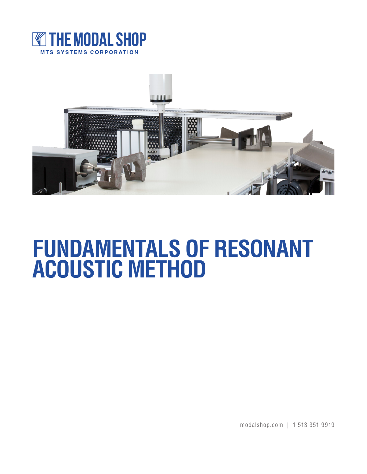



# **FUNDAMENTALS OF RESONANT ACOUSTIC METHOD**

modalshop.com | 1 513 351 9919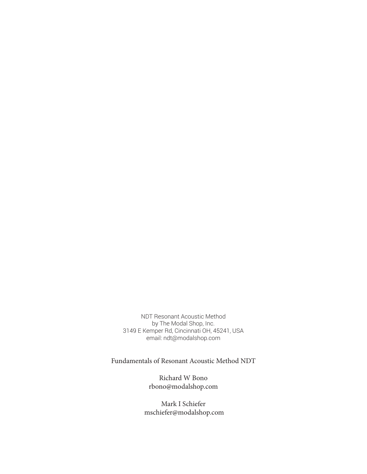NDT Resonant Acoustic Method by The Modal Shop, Inc. 3149 E Kemper Rd, Cincinnati OH, 45241, USA email: ndt@modalshop.com

Fundamentals of Resonant Acoustic Method NDT

Richard W Bono rbono@modalshop.com

Mark I Schiefer mschiefer@modalshop.com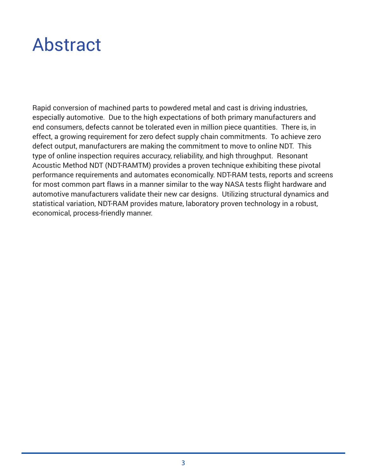### Abstract

Rapid conversion of machined parts to powdered metal and cast is driving industries, especially automotive. Due to the high expectations of both primary manufacturers and end consumers, defects cannot be tolerated even in million piece quantities. There is, in effect, a growing requirement for zero defect supply chain commitments. To achieve zero defect output, manufacturers are making the commitment to move to online NDT. This type of online inspection requires accuracy, reliability, and high throughput. Resonant Acoustic Method NDT (NDT-RAMTM) provides a proven technique exhibiting these pivotal performance requirements and automates economically. NDT-RAM tests, reports and screens for most common part flaws in a manner similar to the way NASA tests flight hardware and automotive manufacturers validate their new car designs. Utilizing structural dynamics and statistical variation, NDT-RAM provides mature, laboratory proven technology in a robust, economical, process-friendly manner.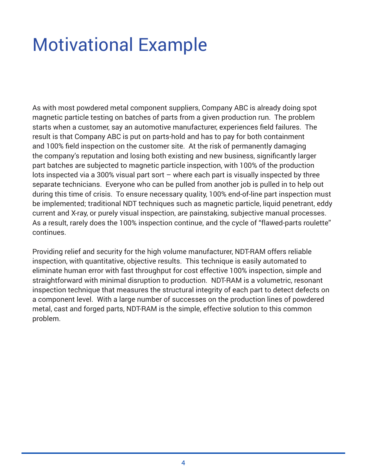# Motivational Example

As with most powdered metal component suppliers, Company ABC is already doing spot magnetic particle testing on batches of parts from a given production run. The problem starts when a customer, say an automotive manufacturer, experiences field failures. The result is that Company ABC is put on parts-hold and has to pay for both containment and 100% field inspection on the customer site. At the risk of permanently damaging the company's reputation and losing both existing and new business, significantly larger part batches are subjected to magnetic particle inspection, with 100% of the production lots inspected via a 300% visual part sort – where each part is visually inspected by three separate technicians. Everyone who can be pulled from another job is pulled in to help out during this time of crisis. To ensure necessary quality, 100% end-of-line part inspection must be implemented; traditional NDT techniques such as magnetic particle, liquid penetrant, eddy current and X-ray, or purely visual inspection, are painstaking, subjective manual processes. As a result, rarely does the 100% inspection continue, and the cycle of "flawed-parts roulette" continues.

Providing relief and security for the high volume manufacturer, NDT-RAM offers reliable inspection, with quantitative, objective results. This technique is easily automated to eliminate human error with fast throughput for cost effective 100% inspection, simple and straightforward with minimal disruption to production. NDT-RAM is a volumetric, resonant inspection technique that measures the structural integrity of each part to detect defects on a component level. With a large number of successes on the production lines of powdered metal, cast and forged parts, NDT-RAM is the simple, effective solution to this common problem.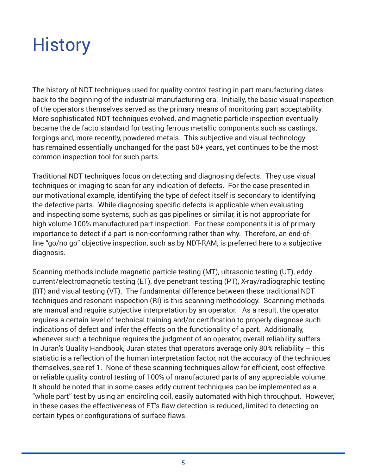# **History**

The history of NDT techniques used for quality control testing in part manufacturing dates back to the beginning of the industrial manufacturing era. Initially, the basic visual inspection of the operators themselves served as the primary means of monitoring part acceptability. More sophisticated NDT techniques evolved, and magnetic particle inspection eventually became the de facto standard for testing ferrous metallic components such as castings, forgings and, more recently, powdered metals. This subjective and visual technology has remained essentially unchanged for the past 50+ years, yet continues to be the most common inspection tool for such parts.

Traditional NDT techniques focus on detecting and diagnosing defects. They use visual techniques or imaging to scan for any indication of defects. For the case presented in our motivational example, identifying the type of defect itself is secondary to identifying the defective parts. While diagnosing specific defects is applicable when evaluating and inspecting some systems, such as gas pipelines or similar, it is not appropriate for high volume 100% manufactured part inspection. For these components it is of primary importance to detect if a part is non-conforming rather than why. Therefore, an end-ofline "go/no go" objective inspection, such as by NDT-RAM, is preferred here to a subjective diagnosis.

Scanning methods include magnetic particle testing (MT), ultrasonic testing (UT), eddy current/electromagnetic testing (ET), dye penetrant testing (PT), X-ray/radiographic testing (RT) and visual testing (VT). The fundamental difference between these traditional NDT techniques and resonant inspection (RI) is this scanning methodology. Scanning methods are manual and require subjective interpretation by an operator. As a result, the operator requires a certain level of technical training and/or certification to properly diagnose such indications of defect and infer the effects on the functionality of a part. Additionally, whenever such a technique requires the judgment of an operator, overall reliability suffers. In Juran's Quality Handbook, Juran states that operators average only 80% reliability – this statistic is a reflection of the human interpretation factor, not the accuracy of the techniques themselves, see ref 1. None of these scanning techniques allow for efficient, cost effective or reliable quality control testing of 100% of manufactured parts of any appreciable volume. It should be noted that in some cases eddy current techniques can be implemented as a "whole part" test by using an encircling coil, easily automated with high throughput. However, in these cases the effectiveness of ET's flaw detection is reduced, limited to detecting on certain types or configurations of surface flaws.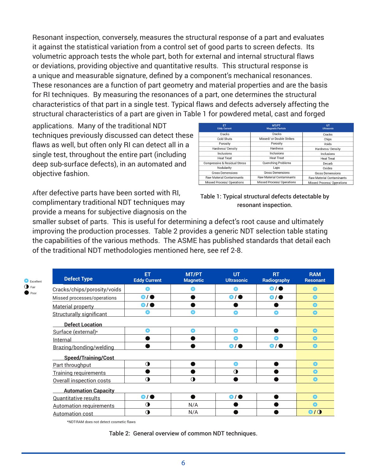Resonant inspection, conversely, measures the structural response of a part and evaluates it against the statistical variation from a control set of good parts to screen defects. Its volumetric approach tests the whole part, both for external and internal structural flaws or deviations, providing objective and quantitative results. This structural response is a unique and measurable signature, defined by a component's mechanical resonances. These resonances are a function of part geometry and material properties and are the basis for RI techniques. By measuring the resonances of a part, one determines the structural characteristics of that part in a single test. Typical flaws and defects adversely affecting the structural characteristics of a part are given in Table 1 for powdered metal, cast and forged

applications. Many of the traditional NDT techniques previously discussed can detect these flaws as well, but often only RI can detect all in a single test, throughout the entire part (including deep sub-surface defects), in an automated and objective fashion.

After defective parts have been sorted with RI, complimentary traditional NDT techniques may provide a means for subjective diagnosis on the

| <b>ET</b><br><b>Eddy Current</b>         | MT/PT<br><b>Magnetic Particle</b> | <b>UT</b><br><b>Ultrasonic</b>    |  |
|------------------------------------------|-----------------------------------|-----------------------------------|--|
| Cracks                                   | Cracks                            | Cracks                            |  |
| Cold Shuts                               | Missed/ or Double Strikes         | Chips                             |  |
| Porosity                                 | Porosity                          | Voids                             |  |
| Hardness/Density                         | Hardness                          | Hardness/Density                  |  |
| Inclusions                               | Inclusions                        | Inclusions                        |  |
| <b>Heat Treat</b>                        | <b>Heat Treat</b>                 | <b>Heat Treat</b>                 |  |
| <b>Compressive &amp; Residual Stress</b> | Quenching Problems                | Decarb                            |  |
| Nodularity                               | Laps                              | Oxides                            |  |
| <b>Gross Demensions</b>                  | <b>Gross Demensions</b>           | <b>Gross Demensions</b>           |  |
| <b>Raw Material Contaminants</b>         | <b>Raw Material Contaminants</b>  | <b>Raw Material Contaminants</b>  |  |
| Missed Process/ Operations               | <b>Missed Process/ Operations</b> | <b>Missed Process/ Operations</b> |  |



smaller subset of parts. This is useful for determining a defect's root cause and ultimately improving the production processes. Table 2 provides a generic NDT selection table stating the capabilities of the various methods. The ASME has published standards that detail each of the traditional NDT methodologies mentioned here, see ref 2-8.

| <b>Defect Type</b>              | ET<br><b>Eddy Current</b> | <b>MT/PT</b><br><b>Magnetic</b> | <b>UT</b><br><b>Ultrasonic</b> | <b>RT</b><br>Radiography | <b>RAM</b><br><b>Resonant</b> |
|---------------------------------|---------------------------|---------------------------------|--------------------------------|--------------------------|-------------------------------|
| Cracks/chips/porosity/voids     | О                         | 0                               | o                              | $\bullet$                | $\bullet$                     |
| Missed processes/operations     | $\bullet$                 |                                 | $\bullet$                      | $\bullet$                | $\bullet$                     |
| <b>Material property</b>        | $\bullet$                 |                                 |                                |                          | $\bullet$                     |
| <b>Structurally significant</b> | o                         | $\bullet$                       | $\bullet$                      | $\bullet$                | $\bullet$                     |
| <b>Defect Location</b>          |                           |                                 |                                |                          |                               |
| Surface (external)*             | Ο                         | $\bullet$                       | $\bullet$                      |                          | $\bullet$                     |
| Internal                        |                           |                                 | $\bullet$                      | $\bullet$                | $\bullet$                     |
| Brazing/bonding/welding         |                           |                                 | $\bullet$                      | $\bullet$                | $\bullet$                     |
| <b>Speed/Training/Cost</b>      |                           |                                 |                                |                          |                               |
| Part throughput                 | $\mathbf 0$               |                                 | $\bullet$                      |                          | $\bullet$                     |
| <b>Training requirements</b>    |                           |                                 | $\Omega$                       |                          | $\bullet$                     |
| Overall inspection costs        | $\mathbf 0$               | $\mathbf 0$                     |                                |                          | $\bullet$                     |
| <b>Automation Capacity</b>      |                           |                                 |                                |                          |                               |
| <b>Quantitative results</b>     | $\bullet$                 |                                 | $\bullet$                      |                          | $\bullet$                     |
| <b>Automation requirements</b>  | $\mathbf 0$               | N/A                             |                                |                          | $\bullet$                     |
| <b>Automation cost</b>          | $\mathbf 0$               | N/A                             |                                |                          | O/O                           |

\*NDT-RAM does not detect cosmetic flaws

Table 2: General overview of common NDT techniques.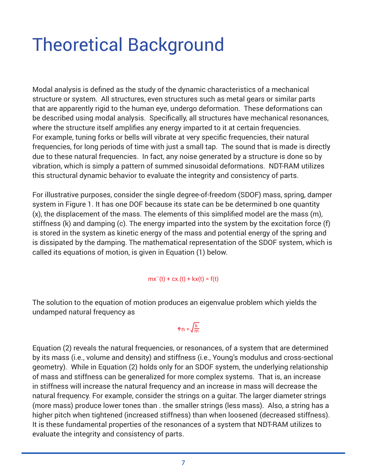# Theoretical Background

Modal analysis is defined as the study of the dynamic characteristics of a mechanical structure or system. All structures, even structures such as metal gears or similar parts that are apparently rigid to the human eye, undergo deformation. These deformations can be described using modal analysis. Specifically, all structures have mechanical resonances, where the structure itself amplifies any energy imparted to it at certain frequencies. For example, tuning forks or bells will vibrate at very specific frequencies, their natural frequencies, for long periods of time with just a small tap. The sound that is made is directly due to these natural frequencies. In fact, any noise generated by a structure is done so by vibration, which is simply a pattern of summed sinusoidal deformations. NDT-RAM utilizes this structural dynamic behavior to evaluate the integrity and consistency of parts.

For illustrative purposes, consider the single degree-of-freedom (SDOF) mass, spring, damper system in Figure 1. It has one DOF because its state can be be determined b one quantity (x), the displacement of the mass. The elements of this simplified model are the mass (m), stiffness (k) and damping (c). The energy imparted into the system by the excitation force (f) is stored in the system as kinetic energy of the mass and potential energy of the spring and is dissipated by the damping. The mathematical representation of the SDOF system, which is called its equations of motion, is given in Equation (1) below.

#### $mx''(t) + cx'(t) + kx(t) = f(t)$

The solution to the equation of motion produces an eigenvalue problem which yields the undamped natural frequency as

### $ln = \sqrt{\frac{k}{m}}$

Equation (2) reveals the natural frequencies, or resonances, of a system that are determined by its mass (i.e., volume and density) and stiffness (i.e., Young's modulus and cross-sectional geometry). While in Equation (2) holds only for an SDOF system, the underlying relationship of mass and stiffness can be generalized for more complex systems. That is, an increase in stiffness will increase the natural frequency and an increase in mass will decrease the natural frequency. For example, consider the strings on a guitar. The larger diameter strings (more mass) produce lower tones than . the smaller strings (less mass). Also, a string has a higher pitch when tightened (increased stiffness) than when loosened (decreased stiffness). It is these fundamental properties of the resonances of a system that NDT-RAM utilizes to evaluate the integrity and consistency of parts.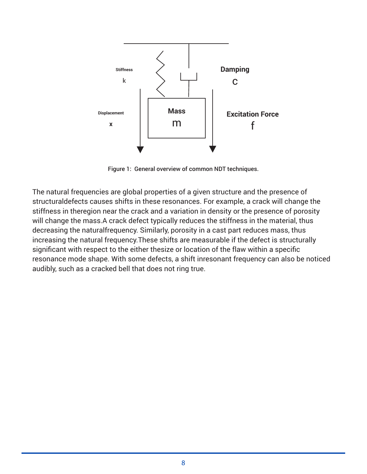

Figure 1: General overview of common NDT techniques.

The natural frequencies are global properties of a given structure and the presence of structuraldefects causes shifts in these resonances. For example, a crack will change the stiffness in theregion near the crack and a variation in density or the presence of porosity will change the mass.A crack defect typically reduces the stiffness in the material, thus decreasing the naturalfrequency. Similarly, porosity in a cast part reduces mass, thus increasing the natural frequency.These shifts are measurable if the defect is structurally significant with respect to the either thesize or location of the flaw within a specific resonance mode shape. With some defects, a shift inresonant frequency can also be noticed audibly, such as a cracked bell that does not ring true.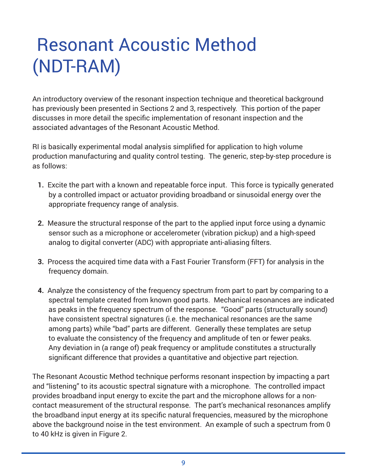# Resonant Acoustic Method (NDT-RAM)

An introductory overview of the resonant inspection technique and theoretical background has previously been presented in Sections 2 and 3, respectively. This portion of the paper discusses in more detail the specific implementation of resonant inspection and the associated advantages of the Resonant Acoustic Method.

RI is basically experimental modal analysis simplified for application to high volume production manufacturing and quality control testing. The generic, step-by-step procedure is as follows:

- **1.** Excite the part with a known and repeatable force input. This force is typically generated by a controlled impact or actuator providing broadband or sinusoidal energy over the appropriate frequency range of analysis.
- **2.** Measure the structural response of the part to the applied input force using a dynamic sensor such as a microphone or accelerometer (vibration pickup) and a high-speed analog to digital converter (ADC) with appropriate anti-aliasing filters.
- **3.** Process the acquired time data with a Fast Fourier Transform (FFT) for analysis in the frequency domain.
- **4.** Analyze the consistency of the frequency spectrum from part to part by comparing to a spectral template created from known good parts. Mechanical resonances are indicated as peaks in the frequency spectrum of the response. "Good" parts (structurally sound) have consistent spectral signatures (i.e. the mechanical resonances are the same among parts) while "bad" parts are different. Generally these templates are setup to evaluate the consistency of the frequency and amplitude of ten or fewer peaks. Any deviation in (a range of) peak frequency or amplitude constitutes a structurally significant difference that provides a quantitative and objective part rejection.

The Resonant Acoustic Method technique performs resonant inspection by impacting a part and "listening" to its acoustic spectral signature with a microphone. The controlled impact provides broadband input energy to excite the part and the microphone allows for a noncontact measurement of the structural response. The part's mechanical resonances amplify the broadband input energy at its specific natural frequencies, measured by the microphone above the background noise in the test environment. An example of such a spectrum from 0 to 40 kHz is given in Figure 2.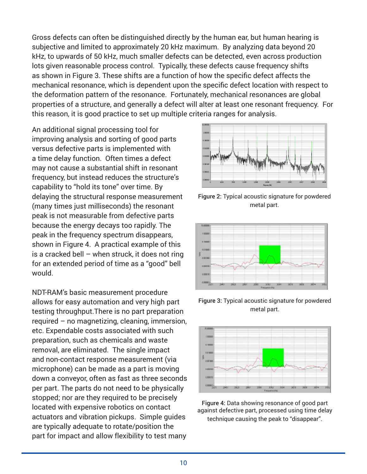Gross defects can often be distinguished directly by the human ear, but human hearing is subjective and limited to approximately 20 kHz maximum. By analyzing data beyond 20 kHz, to upwards of 50 kHz, much smaller defects can be detected, even across production lots given reasonable process control. Typically, these defects cause frequency shifts as shown in Figure 3. These shifts are a function of how the specific defect affects the mechanical resonance, which is dependent upon the specific defect location with respect to the deformation pattern of the resonance. Fortunately, mechanical resonances are global properties of a structure, and generally a defect will alter at least one resonant frequency. For this reason, it is good practice to set up multiple criteria ranges for analysis.

An additional signal processing tool for improving analysis and sorting of good parts versus defective parts is implemented with a time delay function. Often times a defect may not cause a substantial shift in resonant frequency, but instead reduces the structure's capability to "hold its tone" over time. By delaying the structural response measurement (many times just milliseconds) the resonant peak is not measurable from defective parts because the energy decays too rapidly. The peak in the frequency spectrum disappears, shown in Figure 4. A practical example of this is a cracked bell – when struck, it does not ring for an extended period of time as a "good" bell would.

NDT-RAM's basic measurement procedure allows for easy automation and very high part testing throughput.There is no part preparation required – no magnetizing, cleaning, immersion, etc. Expendable costs associated with such preparation, such as chemicals and waste removal, are eliminated. The single impact and non-contact response measurement (via microphone) can be made as a part is moving down a conveyor, often as fast as three seconds per part. The parts do not need to be physically stopped; nor are they required to be precisely located with expensive robotics on contact actuators and vibration pickups. Simple guides are typically adequate to rotate/position the part for impact and allow flexibility to test many



Figure 2: Typical acoustic signature for powdered metal part.



Figure 3: Typical acoustic signature for powdered metal part.



Figure 4: Data showing resonance of good part against defective part, processed using time delay technique causing the peak to "disappear".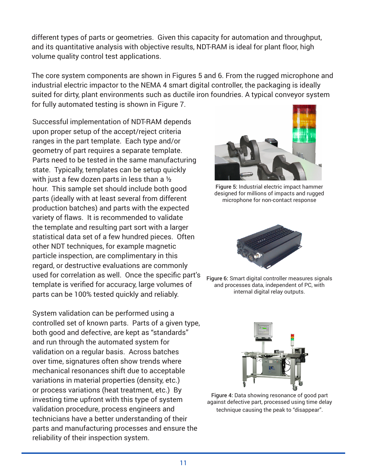different types of parts or geometries. Given this capacity for automation and throughput, and its quantitative analysis with objective results, NDT-RAM is ideal for plant floor, high volume quality control test applications.

The core system components are shown in Figures 5 and 6. From the rugged microphone and industrial electric impactor to the NEMA 4 smart digital controller, the packaging is ideally suited for dirty, plant environments such as ductile iron foundries. A typical conveyor system for fully automated testing is shown in Figure 7.

Successful implementation of NDT-RAM depends upon proper setup of the accept/reject criteria ranges in the part template. Each type and/or geometry of part requires a separate template. Parts need to be tested in the same manufacturing state. Typically, templates can be setup quickly with just a few dozen parts in less than a ½ hour. This sample set should include both good parts (ideally with at least several from different production batches) and parts with the expected variety of flaws. It is recommended to validate the template and resulting part sort with a larger statistical data set of a few hundred pieces. Often other NDT techniques, for example magnetic particle inspection, are complimentary in this regard, or destructive evaluations are commonly used for correlation as well. Once the specific part's template is verified for accuracy, large volumes of parts can be 100% tested quickly and reliably.

System validation can be performed using a controlled set of known parts. Parts of a given type, both good and defective, are kept as "standards" and run through the automated system for validation on a regular basis. Across batches over time, signatures often show trends where mechanical resonances shift due to acceptable variations in material properties (density, etc.) or process variations (heat treatment, etc.) By investing time upfront with this type of system validation procedure, process engineers and technicians have a better understanding of their parts and manufacturing processes and ensure the reliability of their inspection system.



Figure 5: Industrial electric impact hammer designed for millions of impacts and rugged microphone for non-contact response



Figure 6: Smart digital controller measures signals and processes data, independent of PC, with internal digital relay outputs.



Figure 4: Data showing resonance of good part against defective part, processed using time delay technique causing the peak to "disappear".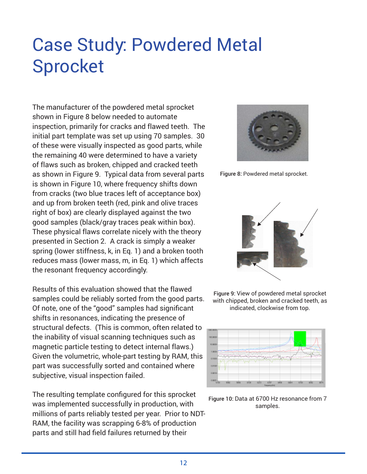# Case Study: Powdered Metal Sprocket

The manufacturer of the powdered metal sprocket shown in Figure 8 below needed to automate inspection, primarily for cracks and flawed teeth. The initial part template was set up using 70 samples. 30 of these were visually inspected as good parts, while the remaining 40 were determined to have a variety of flaws such as broken, chipped and cracked teeth as shown in Figure 9. Typical data from several parts is shown in Figure 10, where frequency shifts down from cracks (two blue traces left of acceptance box) and up from broken teeth (red, pink and olive traces right of box) are clearly displayed against the two good samples (black/gray traces peak within box). These physical flaws correlate nicely with the theory presented in Section 2. A crack is simply a weaker spring (lower stiffness, k, in Eq. 1) and a broken tooth reduces mass (lower mass, m, in Eq. 1) which affects the resonant frequency accordingly.

Results of this evaluation showed that the flawed samples could be reliably sorted from the good parts. Of note, one of the "good" samples had significant shifts in resonances, indicating the presence of structural defects. (This is common, often related to the inability of visual scanning techniques such as magnetic particle testing to detect internal flaws.) Given the volumetric, whole-part testing by RAM, this part was successfully sorted and contained where subjective, visual inspection failed.

The resulting template configured for this sprocket was implemented successfully in production, with millions of parts reliably tested per year. Prior to NDT-RAM, the facility was scrapping 6-8% of production parts and still had field failures returned by their



Figure 8: Powdered metal sprocket.







Figure 10: Data at 6700 Hz resonance from 7 samples.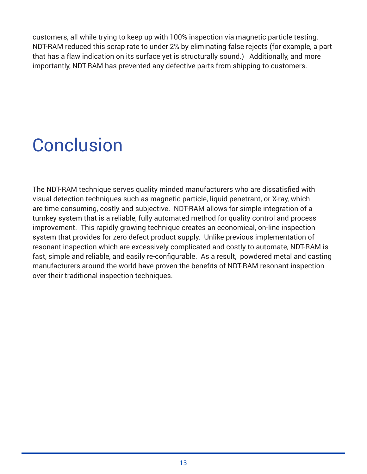customers, all while trying to keep up with 100% inspection via magnetic particle testing. NDT-RAM reduced this scrap rate to under 2% by eliminating false rejects (for example, a part that has a flaw indication on its surface yet is structurally sound.) Additionally, and more importantly, NDT-RAM has prevented any defective parts from shipping to customers.

# **Conclusion**

The NDT-RAM technique serves quality minded manufacturers who are dissatisfied with visual detection techniques such as magnetic particle, liquid penetrant, or X-ray, which are time consuming, costly and subjective. NDT-RAM allows for simple integration of a turnkey system that is a reliable, fully automated method for quality control and process improvement. This rapidly growing technique creates an economical, on-line inspection system that provides for zero defect product supply. Unlike previous implementation of resonant inspection which are excessively complicated and costly to automate, NDT-RAM is fast, simple and reliable, and easily re-configurable. As a result, powdered metal and casting manufacturers around the world have proven the benefits of NDT-RAM resonant inspection over their traditional inspection techniques.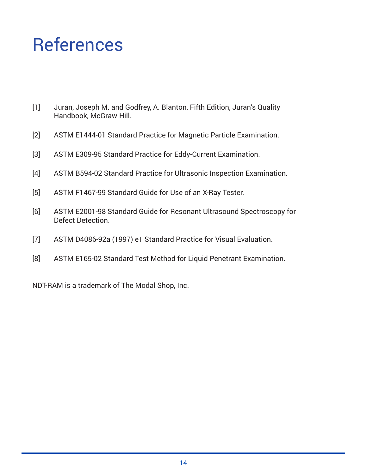### References

- [1] Juran, Joseph M. and Godfrey, A. Blanton, Fifth Edition, Juran's Quality Handbook, McGraw-Hill.
- [2] ASTM E1444-01 Standard Practice for Magnetic Particle Examination.
- [3] ASTM E309-95 Standard Practice for Eddy-Current Examination.
- [4] ASTM B594-02 Standard Practice for Ultrasonic Inspection Examination.
- [5] ASTM F1467-99 Standard Guide for Use of an X-Ray Tester.
- [6] ASTM E2001-98 Standard Guide for Resonant Ultrasound Spectroscopy for Defect Detection.
- [7] ASTM D4086-92a (1997) e1 Standard Practice for Visual Evaluation.
- [8] ASTM E165-02 Standard Test Method for Liquid Penetrant Examination.

NDT-RAM is a trademark of The Modal Shop, Inc.